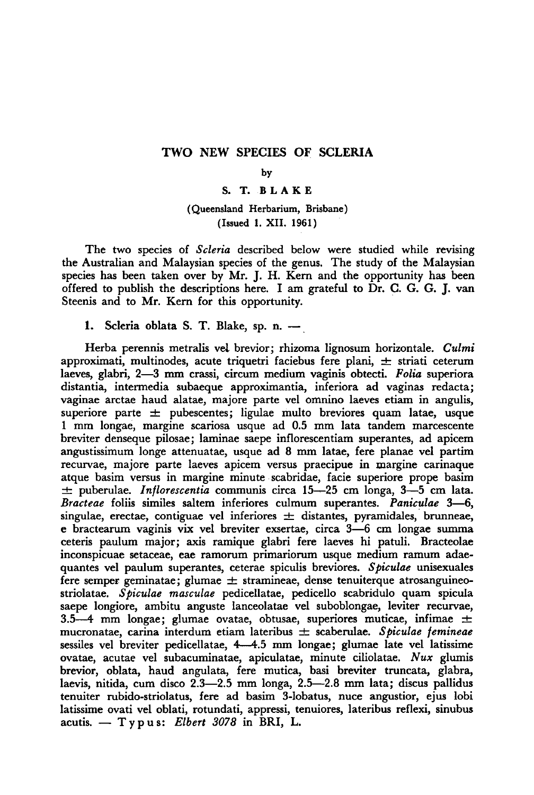## Two new species of Scleria

#### by

#### S.T. Blake

### (Queensland Herbarium, Brisbane) (Issued 1. XII. 1961)

The two species of *Scleria* described below were studied while revising the Australian and Malaysian species of the genus. The study of the Malaysian species has been taken over by Mr. J. H. Kern and the opportunity has been offered to publish the descriptions here. I am grateful to Dr. C. G. G. J. van Steenis and to Mr. Kern for this opportunity.

### 1. Scleria oblata S. T. Blake, sp. n. –

Herba perennis metralis vel brevior; rhizoma lignosum horizontale. Culmi approximati, multinodes, acute triquetri faciebus fere plani,  $\pm$  striati ceterum laeves, glabri, 2—3 mm crassi, circum medium vaginis obtecti. Folia superiora distantia, intermedia subaeque approximantia, inferiora ad vaginas redacta; vaginae arctae haud alatae, majore parte vel omnino laeves etiam in angulis, superiore parte  $\pm$  pubescentes; ligulae multo breviores quam latae, usque <sup>1</sup> mm longae, margine scariosa usque ad 0.5 mm lata tandem marcescente breviter denseque pilosae; laminae saepe inflorescentiam superantes, ad apicem angustissimum longe attenuatae, usque ad <sup>8</sup> mm latae, fere planae vel partim recurvae, majore parte laeves apicem versus praecipue in margine carinaque atque basim versus in margine minute scabridae, facie superiore prope basim  $\pm$  puberulae. *Inflorescentia* communis circa 15—25 cm longa, 3—5 cm lata. Bracteae foliis similes saltern inferiores culmum superantes. Paniculae 3—6, singulae, erectae, contiguae vel inferiores  $\pm$  distantes, pyramidales, brunneae, <sup>e</sup> bractearum vaginis vix vel breviter exsertae, circa 3—6 cm longae summa ceteris paulum major; axis ramique glabri fere laeves hi patuli. Bracteolae inconspicuae setaceae, eae ramorum primariorum usque medium ramum adaequantes vel paulum superantes, ceterae spiculis breviores. Spiculae unisexuales fere semper geminatae; glumae  $\pm$  stramineae, dense tenuiterque atrosanguineostriolatae. Spiculae masculae pedicellatae, pedicello scabridulo quam spicula saepe longiore, ambitu anguste lanceolatae vel suboblongae, leviter recurvae, 3.5—4 mm longae; glumae ovatae, obtusae, superiores muticae, infimae  $\pm$ mucronatae, carina interdum etiam lateribus  $\pm$  scaberulae. Spiculae femineae sessiles vel breviter pedicellatae, 4—4.5 mm longae; glumae late vel latissime ovatae, acutae vel subacuminatae, apiculatae, minute ciliolatae. Nux glumis brevior, oblata, haud angulata, fere mutica, basi breviter truncata, glabra, laevis, nitida, cum disco 2.3—2.5 mm longa, 2.5—2.8 mm lata; discus pallidus tenuiter rubido-striolatus, fere ad basim 3-lobatus, nuce angustior, ejus lobi latissime ovati vel oblati, rotundati, appressi, tenuiores, lateribus reflexi, sinubus acutis.  $-$  T y p u s: Elbert 3078 in BRI, L.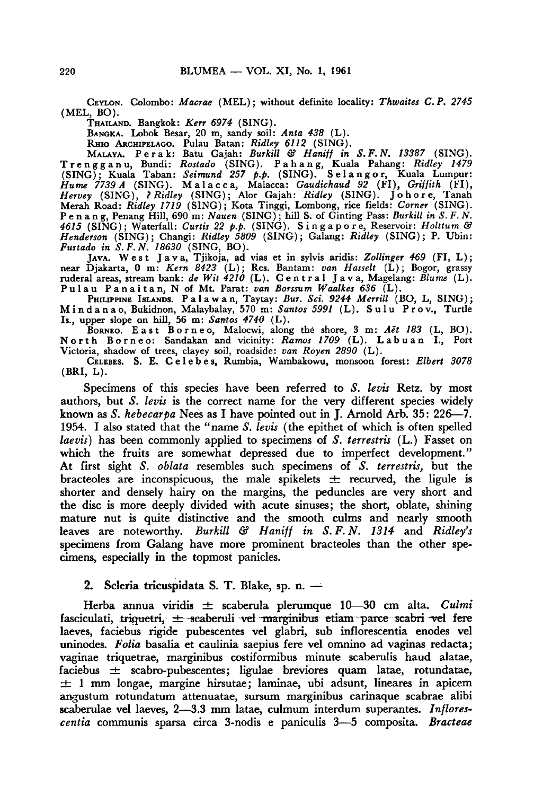CEYLON. Colombo: Macrae (MEL); without definite locality: Thwaites C.P. 2745 (MEL, BO).

THAILAND. Bangkok: Kerr 6974 (SING).

BANGKA. Lobok Besar, 20 m, sandy soil: Anta 438 (L).

RHIO ARCHIPELAGO. Pulau Batan: *Ridley 6112* (SING).<br>MALAYA. Perak: Batu Gajah: *Burkill & Haniff in S.F.N. 13387* (SING). Trengganu, Bundi: Rostado (SING). <sup>P</sup> <sup>a</sup> h <sup>a</sup> n g, Kuala Pahang: Ridley <sup>1479</sup> (SING); Kuala Taban: Seimund <sup>257</sup> p.p. (SING). Selangor, Kuala Lumpur: Hume <sup>7739</sup> <sup>A</sup> (SING). Malacca, Malacca: Gaudichaud <sup>92</sup> (FI), Griffith (FI), Hervey (SING), ? Ridley (SING); Alor Gajah: Ridley (SING). Johore, Tanah Merah Road: Ridley <sup>1719</sup> (SING); Kota Tinggi, Lombong, rice fields: Corner (SING). Renang Penang Hill, 690 m: Nauen (SING); hill S. of Ginting Pass: Burkill in S. F. N.<br>4615 (SING); Waterfall: Curtis 22 p.p. (SING). Sing a pore, Reservoir: Holttum &<br>Henderson (SING); Changi: Ridley 5809 (SING); Galang: R Furtado in  $S.F.N.$  18630 (SING, BO).

JAVA. West Java, Tjikoja, ad vias et in sylvis aridis: Zollinger <sup>469</sup> (FI, L); near Djakarta, 0 m: Kern 8423 (L); Res. Bantam: van Hasselt (L); Bogor, grassy<br>ruderal areas, stream bank: de Wit 4210 (L). Central Java, Magelang: Blume (L). Pulau Panaitan, Nof Mt. Parat: van Borssum Waalkes <sup>636</sup> (L).

PHILIPPINE ISLANDS. Palawan, Taytay: Bur. Sci. 9244 Merrill (BO, L, SING);<br>Mindanao, Bukidnon, Malaybalay, 570 m: Santos 5991 (L). Sulu Prov., Turtle<br>Is., upper slope on hill, 56 m: Santos 4740 (L).

BORNEO. East Borneo, Maloewi, along the shore, <sup>3</sup> m: Aet <sup>183</sup> (L, BO). North Borneo: Sandakan and vicinity: Ramos <sup>1709</sup> (L). Labuan I., Port Victoria, shadow of trees, clayey soil, roadside: van Royen 2890 (L).

CELEBES. S. E. CELEBES, Rumbia, Wambakowu, monsoon forest: Elbert 3078 (BRI, L).

Specimens of this species have been referred to S. levis Retz. by most authors, but  $S$ . levis is the correct name for the very different species widely known as S. hebecarpa Nees as I have pointed out in J. Arnold Arb. 35: 226—7. 1954. I also stated that the "name S. levis (the epithet of which is often spelled laevis) has been commonly applied to specimens of S. terrestris (L.) Fasset on which the fruits are somewhat depressed due to imperfect development." At first sight S. oblata resembles such specimens of S. terrestris, but the bracteoles are inconspicuous, the male spikelets  $\pm$  recurved, the ligule is shorter and densely hairy on the margins, the peduncles are very short and the disc is more deeply divided with acute sinuses; the short, oblate, shining mature nut is quite distinctive and the smooth culms and nearly smooth leaves are noteworthy. Burkill & Haniff in S.F.N. 1314 and Ridley's specimens from Galang have more prominent bracteoles than the other specimens, especially in the topmost panicles.

# 2. Scleria tricuspidata S. T. Blake, sp. n. –

Herba annua viridis  $\pm$  scaberula plerumque 10—30 cm alta. Culmi fasciculati, triquetri,  $\pm$  scaberuli vel marginibus etiam parce scabri vel fere laeves, faciebus rigide pubescentes vel glabri, sub inflorescentia enodes vel uninodes. Folia basalia et caulinia saepius fere vel omnino ad vaginas redacta; vaginae triquetrae, marginibus costiformibus minute scaberulis baud alatae, faciebus  $\pm$  scabro-pubescentes; ligulae breviores quam latae, rotundatae,  $±$  1 mm longae, margine hirsutae; laminae, ubi adsunt, lineares in apicem angustum rotundatum attenuatae, sursum marginibus carinaque scabrae alibi scaberulae vel laeves, 2—3.3 mm latae, culmum interdum superantes. Inflorescentia communis sparsa circa 3-nodis <sup>e</sup> paniculis 3—5 composita. Bracteae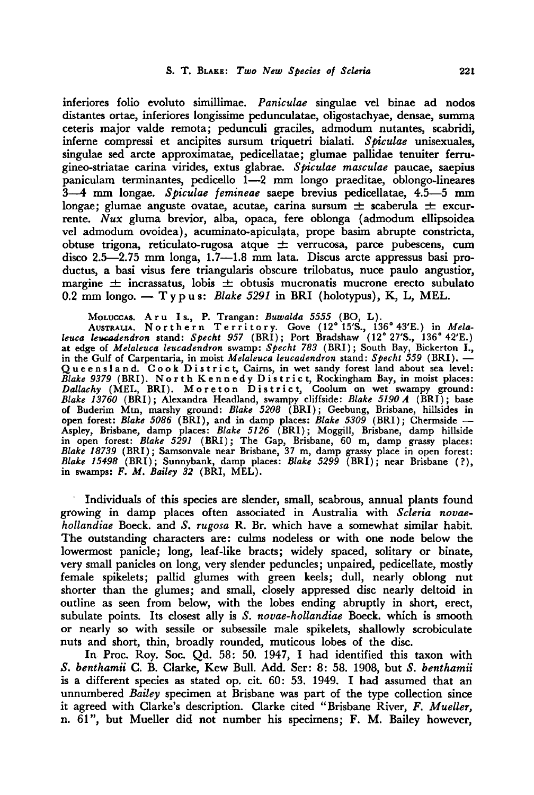inferiores folio evoluto simillimae. Paniculae singulae vel binae ad nodos distantes ortae, inferiores longissime pedunculatae, oligostachyae, densae, summa ceteris major valde remota; pedunculi graciles, admodum nutantes, scabridi, inferne compressi et ancipites sursum triquetri bialati. Spiculae unisexuales, singulae sed arete approximatae, pedicellatae; glumae pallidae tenuiter ferrugineo-striatae carina virides, extus glabrae. Spiculae masculae paucae, saepius paniculam terminantes, pedicello 1—2 mm longo praeditae, oblongo-lineares 3—4 mm longae. Spiculae femineae saepe brevius pedicellatae, 4.5—5 mm longae; glumae anguste ovatae, acutae, carina sursum  $\pm$  scaberula  $\pm$  excurrente.  $\bar{N}ux$  gluma brevior, alba, opaca, fere oblonga (admodum ellipsoidea vel admodum ovoidea), acuminato-apiculata, prope basim abrupte constricta, obtuse trigona, reticulato-rugosa atque  $\pm$  verrucosa, parce pubescens, cum disco 2.5—2.75 mm longa, 1.7—1.8 mm lata. Discus arete appressus basi productus, a basi visus fere triangularis obscure trilobatus, nuce paulo angustior, margine  $\pm$  incrassatus, lobis  $\pm$  obtusis mucronatis mucrone erecto subulato 0.2 mm longo. — T <sup>y</sup> <sup>p</sup> u s: Blake <sup>5291</sup> in BRI (holotypus), K, L, MEL.

Mo<mark>luccas. Aru Is., P. Trangan: *Buwalda 5555* (BO, L).</mark><br>Australia. Northern Territory. Gove (12°15'S., 136°43'E.) in *Mela* leuca leucadendron stand: Specht <sup>957</sup> (BRI); Port Bradshaw (12° 27'S., 136° 42'E.) at edge of Melaleuca leucadendron swamp: Specht 783 (BRI); South Bay, Bickerton I., in the Gulf of Carpentaria, in moist Melaleuca leucadendron stand: Specht 559 (BRI). -In the Gulf of Carpentaria, in motst *metalence tencements stand. Specifi 553* (DKT). —<br>Queensland. Cook District, Cairns, in wet sandy forest land about sea level: Blake <sup>9379</sup> (BRI). North Kennedy District, Rockingham Bay, in moist places: Dallachy (MEL, BRI). Moreton District, Coolum on wet swampy ground: Blake 13760 (BRI); Alexandra Headland, swampy cliffside: Blake 5190 A (BRI); base of Buderim Mtn, marshy ground: Blake <sup>5208</sup> (BRI); Geebung, Brisbane, hillsides in open forest: Blake 5086 (BRI), and in damp places: Blake 5309 (BRI); Chermside — Aspley, Brisbane, damp places: Blake 5126 (BRI); Moggill, Brisbane, damp hillside in open forest: Blake 5291 (BRI); The Gap, Brisbane, 60 m, damp grassy places: Blake <sup>18739</sup> (BRI); Samsonvale near Brisbane, <sup>37</sup> m, damp grassy place in open forest: Blake 15498 (BRI); Sunnybank, damp places: Blake 5299 (BRI); near Brisbane (?), in swamps:  $F. M.$  Bailey 32 (BRI, MEL).

Individuals of this species are slender, small, scabrous, annual plants found growing in damp places often associated in Australia with Scleria novaehollandiae Boeck. and S. rugosa R. Br. which have a somewhat similar habit. The outstanding characters are: culms nodeless or with one node below the lowermost panicle; long, leaf-like bracts; widely spaced, solitary or binate, very small panicles on long, very slender peduncles; unpaired, pedicellate, mostly female spikelets; pallid glumes with green keels; dull, nearly oblong nut shorter than the glumes; and small, closely appressed disc nearly deltoid in outline as seen from below, with the lobes ending abruptly in short, erect, subulate points. Its closest ally is S. novae-hollandiae Boeck. which is smooth or nearly so with sessile or subsessile male spikelets, shallowly scrobiculate nuts and short, thin, broadly rounded, muticous lobes of the disc.

In Proc. Roy. Soc. Qd. 58: 50. 1947, I had identified this taxon with S. benthamii C. B. Clarke, Kew Bull. Add. Ser: 8: 58. 1908, but S. benthamii is a different species as stated op. cit. 60: 53. 1949. I had assumed that an unnumbered Bailey specimen at Brisbane was part of the type collection since it agreed with Clarke's description. Clarke cited "Brisbane River, F. Mueller, n. 61", but Mueller did not number his specimens; F. M. Bailey however,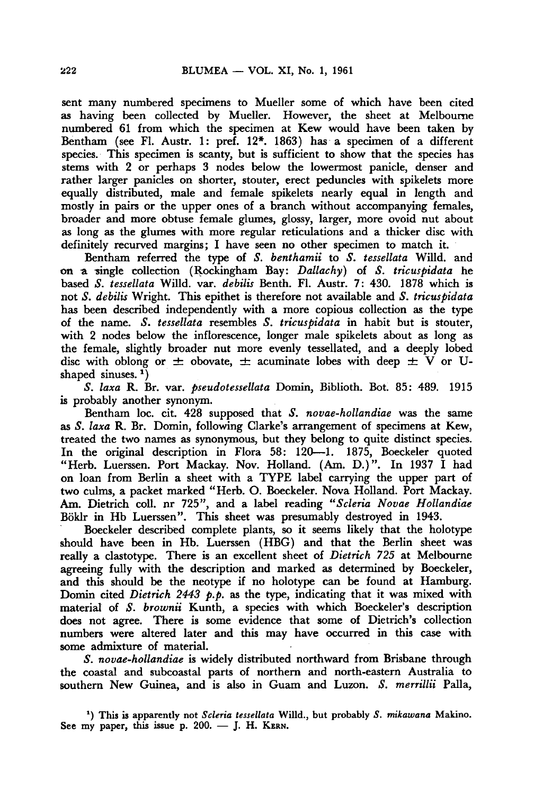sent many numbered specimens to Mueller some of which have been cited as having been collected by Mueller. However, the sheet at Melbourne numbered <sup>61</sup> from which the specimen at Kew would have been taken by Bentham (see Fl. Austr. 1: pref. 12\*. 1863) has a specimen of a different species. This specimen is scanty, but is sufficient to show that the species has stems with <sup>2</sup> or perhaps <sup>3</sup> nodes below the lowermost panicle, denser and rather larger panicles on shorter, stouter, erect peduncles with spikelets more equally distributed, male and female spikelets nearly equal in length and mostly in pairs or the upper ones of <sup>a</sup> branch without accompanying females, broader and more obtuse female glumes, glossy, larger, more ovoid nut about as long as the glumes with more regular reticulations and a thicker disc with definitely recurved margins; I have seen no other specimen to match it.

Bentham referred the type of S. benthamii to S. tessellata Willd. and on a single collection (Rockingham Bay: Dallachy) of S. tricuspidata he based S. tessellata Willd. var. debilis Benth. Fl. Austr. 7: 430. 1878 which is not S. debilis Wright. This epithet is therefore not available and S. tricuspidata has been described independently with a more copious collection as the type of the name. S. tessellata resembles S. tricuspidata in habit but is stouter, with <sup>2</sup> nodes below the inflorescence, longer male spikelets about as long as the female, slightly broader nut more evenly tessellated, and <sup>a</sup> deeply lobed disc with oblong or  $\pm$  obovate,  $\pm$  acuminate lobes with deep  $\pm$  V or Ushaped sinuses.<sup>1</sup>)

S. laxa R. Br. var. pseudotessellata Domin, Biblioth. Bot. 85: 489. 1915 is probably another synonym.

Bentham loc. cit. 428 supposed that S. novae-hollandiae was the same as S. laxa R. Br. Domin, following Clarke's arrangement of specimens at Kew, treated the two names as synonymous, but they belong to quite distinct species. In the original description in Flora 58: 120—1. 1875, Boeckeler quoted "Herb. Luerssen. Port Mackay. Nov. Holland. (Am. D.)". In <sup>1937</sup> I had on loan from Berlin a sheet with <sup>a</sup> TYPE label carrying the upper part of two culms, a packet marked "Herb. O. Boeckeler. Nova Holland. Port Mackay. Am. Dietrich coll. nr 725", and a label reading "Scleria Novae Hollandiae Böklr in Hb Luerssen". This sheet was presumably destroyed in 1943.

Boeckeler described complete plants, so it seems likely that the holotype should have been in Hb. Luerssen (HBG) and that the Berlin sheet was really a clastotype. There is an excellent sheet of *Dietrich* 725 at Melbourne agreeing fully with the description and marked as determined by Boeckeler, and this should be the neotype if no holotype can be found at Hamburg. Domin cited *Dietrich* 2443 p.p. as the type, indicating that it was mixed with material of S. brownii Kunth, a species with which Boeckeler's description does not agree. There is some evidence that some of Dietrich's collection numbers were altered later and this may have occurred in this case with some admixture of material.

S. novae-hollandiae is widely distributed northward from Brisbane through the coastal and subcoastal parts of northern and north-eastern Australia to southern New Guinea, and is also in Guam and Luzon. S. merrillii Palla,

<sup>&#</sup>x27;) This is apparently not Scleria tessellata Willd., but probably S. mikawana Makino. See my paper, this issue p. 200. — J. H. KERN.